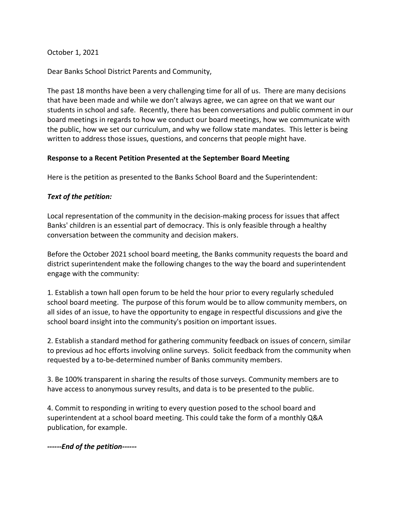October 1, 2021

Dear Banks School District Parents and Community,

The past 18 months have been a very challenging time for all of us. There are many decisions that have been made and while we don't always agree, we can agree on that we want our students in school and safe. Recently, there has been conversations and public comment in our board meetings in regards to how we conduct our board meetings, how we communicate with the public, how we set our curriculum, and why we follow state mandates. This letter is being written to address those issues, questions, and concerns that people might have.

## **Response to a Recent Petition Presented at the September Board Meeting**

Here is the petition as presented to the Banks School Board and the Superintendent:

## *Text of the petition:*

Local representation of the community in the decision-making process for issues that affect Banks' children is an essential part of democracy. This is only feasible through a healthy conversation between the community and decision makers.

Before the October 2021 school board meeting, the Banks community requests the board and district superintendent make the following changes to the way the board and superintendent engage with the community:

1. Establish a town hall open forum to be held the hour prior to every regularly scheduled school board meeting. The purpose of this forum would be to allow community members, on all sides of an issue, to have the opportunity to engage in respectful discussions and give the school board insight into the community's position on important issues.

2. Establish a standard method for gathering community feedback on issues of concern, similar to previous ad hoc efforts involving online surveys. Solicit feedback from the community when requested by a to-be-determined number of Banks community members.

3. Be 100% transparent in sharing the results of those surveys. Community members are to have access to anonymous survey results, and data is to be presented to the public.

4. Commit to responding in writing to every question posed to the school board and superintendent at a school board meeting. This could take the form of a monthly Q&A publication, for example.

*------End of the petition------*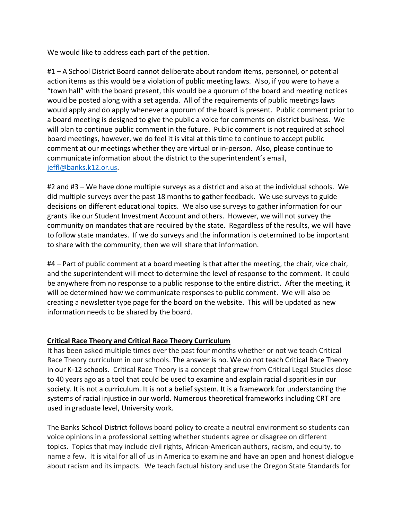We would like to address each part of the petition.

#1 – A School District Board cannot deliberate about random items, personnel, or potential action items as this would be a violation of public meeting laws. Also, if you were to have a "town hall" with the board present, this would be a quorum of the board and meeting notices would be posted along with a set agenda. All of the requirements of public meetings laws would apply and do apply whenever a quorum of the board is present. Public comment prior to a board meeting is designed to give the public a voice for comments on district business. We will plan to continue public comment in the future. Public comment is not required at school board meetings, however, we do feel it is vital at this time to continue to accept public comment at our meetings whether they are virtual or in-person. Also, please continue to communicate information about the district to the superintendent's email, jeffl@banks.k12.or.us.

#2 and #3 – We have done multiple surveys as a district and also at the individual schools. We did multiple surveys over the past 18 months to gather feedback. We use surveys to guide decisions on different educational topics. We also use surveys to gather information for our grants like our Student Investment Account and others. However, we will not survey the community on mandates that are required by the state. Regardless of the results, we will have to follow state mandates. If we do surveys and the information is determined to be important to share with the community, then we will share that information.

#4 – Part of public comment at a board meeting is that after the meeting, the chair, vice chair, and the superintendent will meet to determine the level of response to the comment. It could be anywhere from no response to a public response to the entire district. After the meeting, it will be determined how we communicate responses to public comment. We will also be creating a newsletter type page for the board on the website. This will be updated as new information needs to be shared by the board.

## **Critical Race Theory and Critical Race Theory Curriculum**

It has been asked multiple times over the past four months whether or not we teach Critical Race Theory curriculum in our schools. The answer is no. We do not teach Critical Race Theory in our K-12 schools. Critical Race Theory is a concept that grew from Critical Legal Studies close to 40 years ago as a tool that could be used to examine and explain racial disparities in our society. It is not a curriculum. It is not a belief system. It is a framework for understanding the systems of racial injustice in our world. Numerous theoretical frameworks including CRT are used in graduate level, University work.

The Banks School District follows board policy to create a neutral environment so students can voice opinions in a professional setting whether students agree or disagree on different topics. Topics that may include civil rights, African-American authors, racism, and equity, to name a few. It is vital for all of us in America to examine and have an open and honest dialogue about racism and its impacts. We teach factual history and use the Oregon State Standards for